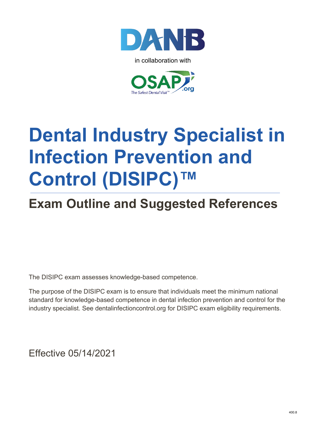

in collaboration with



## **Dental Industry Specialist in Infection Prevention and Control (DISIPC)™**

## **Exam Outline and Suggested References**

The DISIPC exam assesses knowledge-based competence.

The purpose of the DISIPC exam is to ensure that individuals meet the minimum national standard for knowledge-based competence in dental infection prevention and control for the industry specialist. See dentalinfectioncontrol.org for DISIPC exam eligibility requirements.

Effective 05/14/2021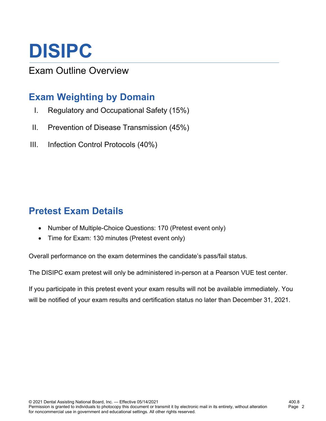# **DISIPC**

Exam Outline Overview

### **Exam Weighting by Domain**

- I. Regulatory and Occupational Safety (15%)
- II. Prevention of Disease Transmission (45%)
- III. Infection Control Protocols (40%)

### **Pretest Exam Details**

- Number of Multiple-Choice Questions: 170 (Pretest event only)
- Time for Exam: 130 minutes (Pretest event only)

Overall performance on the exam determines the candidate's pass/fail status.

The DISIPC exam pretest will only be administered in-person at a Pearson VUE test center.

If you participate in this pretest event your exam results will not be available immediately. You will be notified of your exam results and certification status no later than December 31, 2021.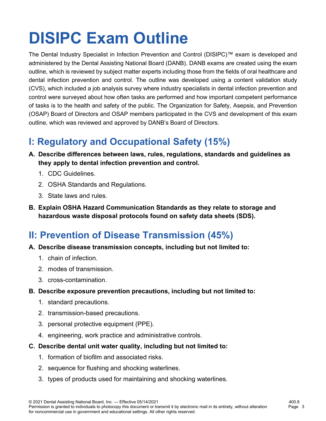## **DISIPC Exam Outline**

The Dental Industry Specialist in Infection Prevention and Control (DISIPC)™ exam is developed and administered by the Dental Assisting National Board (DANB). DANB exams are created using the exam outline, which is reviewed by subject matter experts including those from the fields of oral healthcare and dental infection prevention and control. The outline was developed using a content validation study (CVS), which included a job analysis survey where industry specialists in dental infection prevention and control were surveyed about how often tasks are performed and how important competent performance of tasks is to the health and safety of the public. The Organization for Safety, Asepsis, and Prevention (OSAP) Board of Directors and OSAP members participated in the CVS and development of this exam outline, which was reviewed and approved by DANB's Board of Directors.

### **I: Regulatory and Occupational Safety (15%)**

- **A. Describe differences between laws, rules, regulations, standards and guidelines as they apply to dental infection prevention and control.**
	- 1. CDC Guidelines.
	- 2. OSHA Standards and Regulations.
	- 3. State laws and rules.
- **B. Explain OSHA Hazard Communication Standards as they relate to storage and hazardous waste disposal protocols found on safety data sheets (SDS).**

### **II: Prevention of Disease Transmission (45%)**

- **A. Describe disease transmission concepts, including but not limited to:**
	- 1. chain of infection.
	- 2. modes of transmission.
	- 3. cross-contamination.
- **B. Describe exposure prevention precautions, including but not limited to:**
	- 1. standard precautions.
	- 2. transmission-based precautions.
	- 3. personal protective equipment (PPE).
	- 4. engineering, work practice and administrative controls.
- **C. Describe dental unit water quality, including but not limited to:**
	- 1. formation of biofilm and associated risks.
	- 2. sequence for flushing and shocking waterlines.
	- 3. types of products used for maintaining and shocking waterlines.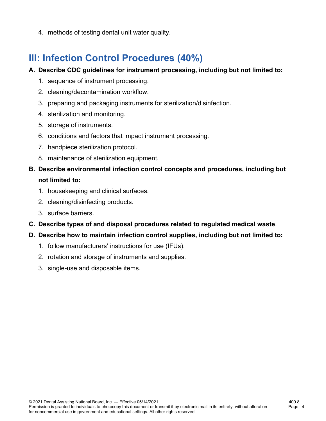4. methods of testing dental unit water quality.

#### **III: Infection Control Procedures (40%)**

#### **A. Describe CDC guidelines for instrument processing, including but not limited to:**

- 1. sequence of instrument processing.
- 2. cleaning/decontamination workflow.
- 3. preparing and packaging instruments for sterilization/disinfection.
- 4. sterilization and monitoring.
- 5. storage of instruments.
- 6. conditions and factors that impact instrument processing.
- 7. handpiece sterilization protocol.
- 8. maintenance of sterilization equipment.
- **B. Describe environmental infection control concepts and procedures, including but not limited to:**
	- 1. housekeeping and clinical surfaces.
	- 2. cleaning/disinfecting products.
	- 3. surface barriers.
- **C. Describe types of and disposal procedures related to regulated medical waste**.
- **D. Describe how to maintain infection control supplies, including but not limited to:**
	- 1. follow manufacturers' instructions for use (IFUs).
	- 2. rotation and storage of instruments and supplies.
	- 3. single-use and disposable items.